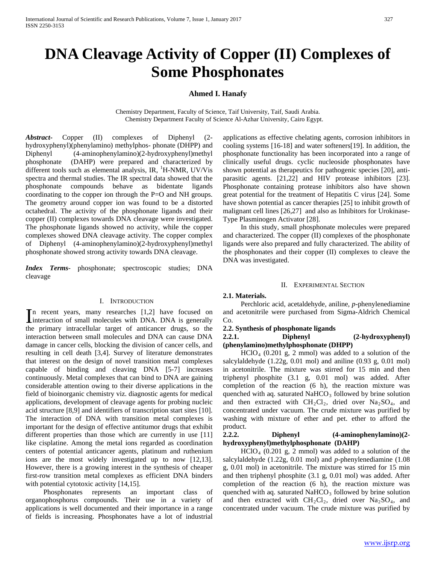# **DNA Cleavage Activity of Copper (II) Complexes of Some Phosphonates**

## **Ahmed I. Hanafy**

Chemistry Department, Faculty of Science, Taif University, Taif, Saudi Arabia. Chemistry Department Faculty of Science Al-Azhar University, Cairo Egypt.

*Abstract***-** Copper (II) complexes of Diphenyl (2 hydroxyphenyl)(phenylamino) methylphos- phonate (DHPP) and Diphenyl (4-aminophenylamino)(2-hydroxyphenyl)methyl phosphonate (DAHP) were prepared and characterized by different tools such as elemental analysis, IR, <sup>1</sup>H-NMR, UV/Vis spectra and thermal studies. The IR spectral data showed that the phosphonate compounds behave as bidentate ligands coordinating to the copper ion through the P=O and NH groups. The geometry around copper ion was found to be a distorted octahedral. The activity of the phosphonate ligands and their copper (II) complexes towards DNA cleavage were investigated. The phosphonate ligands showed no activity, while the copper complexes showed DNA cleavage activity. The copper complex of Diphenyl (4-aminophenylamino)(2-hydroxyphenyl)methyl phosphonate showed strong activity towards DNA cleavage.

*Index Terms*- phosphonate; spectroscopic studies; DNA cleavage

#### I. INTRODUCTION

n recent years, many researches [1,2] have focused on In recent years, many researches  $[1,2]$  have focused on interaction of small molecules with DNA. DNA is generally the primary intracellular target of anticancer drugs, so the interaction between small molecules and DNA can cause DNA damage in cancer cells, blocking the division of cancer cells, and resulting in cell death [3,4]. Survey of literature demonstrates that interest on the design of novel transition metal complexes capable of binding and cleaving DNA [5-7] increases continuously. Metal complexes that can bind to DNA are gaining considerable attention owing to their diverse applications in the field of bioinorganic chemistry viz. diagnostic agents for medical applications, development of cleavage agents for probing nucleic acid structure [8,9] and identifiers of transcription start sites [10]. The interaction of DNA with transition metal complexes is important for the design of effective antitumor drugs that exhibit different properties than those which are currently in use [11] like cisplatine. Among the metal ions regarded as coordination centers of potential anticancer agents, platinum and ruthenium ions are the most widely investigated up to now [12,13]. However, there is a growing interest in the synthesis of cheaper first-row transition metal complexes as efficient DNA binders with potential cytotoxic activity [14,15].

 Phosphonates represents an important class of organophosphorus compounds. Their use in a variety of applications is well documented and their importance in a range of fields is increasing. Phosphonates have a lot of industrial applications as effective chelating agents, corrosion inhibitors in cooling systems [16-18] and water softeners[19]. In addition, the phosphonate functionality has been incorporated into a range of clinically useful drugs. cyclic nucleoside phosphonates have shown potential as therapeutics for pathogenic species [20], antiparasitic agents. [21,22] and HIV protease inhibitors [23]. Phosphonate containing protease inhibitors also have shown great potential for the treatment of Hepatitis C virus [24]. Some have shown potential as cancer therapies [25] to inhibit growth of malignant cell lines [26,27] and also as Inhibitors for Urokinase-Type Plasminogen Activator [28].

 In this study, small phosphonate molecules were prepared and characterized. The copper (II) complexes of the phosphonate ligands were also prepared and fully characterized. The ability of the phosphonates and their copper (II) complexes to cleave the DNA was investigated.

#### II. EXPERIMENTAL SECTION

#### **2.1. Materials.**

 Perchloric acid, acetaldehyde, aniline, *p*-phenylenediamine and acetonitrile were purchased from Sigma-Aldrich Chemical Co.

# **2.2. Synthesis of phosphonate ligands**

# **2.2.1. Diphenyl (2-hydroxyphenyl) (phenylamino)methylphosphonate (DHPP)**

 $HClO<sub>4</sub>$  (0.201 g, 2 mmol) was added to a solution of the salcylaldehyde (1.22g, 0.01 mol) and aniline (0.93 g, 0.01 mol) in acetonitrile. The mixture was stirred for 15 min and then triphenyl phosphite (3.1 g, 0.01 mol) was added. After completion of the reaction (6 h), the reaction mixture was quenched with aq. saturated  $NAHCO<sub>3</sub>$  followed by brine solution and then extracted with  $CH_2Cl_2$ , dried over  $Na_2SO_4$ , and concentrated under vacuum. The crude mixture was purified by washing with mixture of ether and pet. ether to afford the product.

#### **2.2.2. Diphenyl (4-aminophenylamino)(2 hydroxyphenyl)methylphosphonate (DAHP)**

 $HClO<sub>4</sub>$  (0.201 g, 2 mmol) was added to a solution of the salcylaldehyde (1.22g, 0.01 mol) and *p*-phenylenediamine (1.08 g, 0.01 mol) in acetonitrile. The mixture was stirred for 15 min and then triphenyl phosphite (3.1 g, 0.01 mol) was added. After completion of the reaction (6 h), the reaction mixture was quenched with aq. saturated  $NAHCO<sub>3</sub>$  followed by brine solution and then extracted with  $CH_2Cl_2$ , dried over  $Na_2SO_4$ , and concentrated under vacuum. The crude mixture was purified by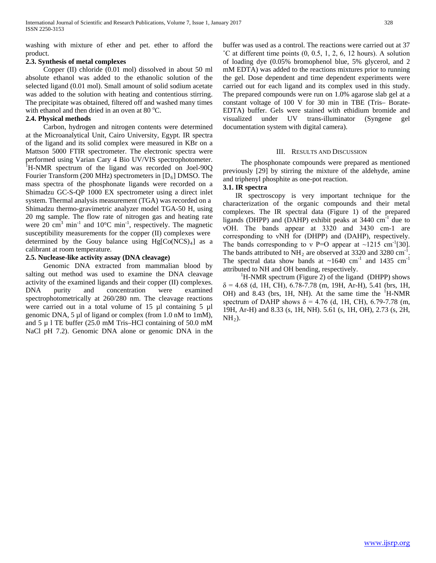washing with mixture of ether and pet. ether to afford the product.

## **2.3. Synthesis of metal complexes**

 Copper (II) chloride (0.01 mol) dissolved in about 50 ml absolute ethanol was added to the ethanolic solution of the selected ligand (0.01 mol). Small amount of solid sodium acetate was added to the solution with heating and contentious stirring. The precipitate was obtained, filtered off and washed many times with ethanol and then dried in an oven at 80 °C.

## **2.4. Physical methods**

 Carbon, hydrogen and nitrogen contents were determined at the Microanalytical Unit, Cairo University, Egypt. IR spectra of the ligand and its solid complex were measured in KBr on a Mattson 5000 FTIR spectrometer. The electronic spectra were performed using Varian Cary 4 Bio UV/VIS spectrophotometer. <sup>1</sup>H-NMR spectrum of the ligand was recorded on Joel-90Q Fourier Transform (200 MHz) spectrometers in [D<sub>6</sub>] DMSO. The mass spectra of the phosphonate ligands were recorded on a Shimadzu GC-S-QP 1000 EX spectrometer using a direct inlet system. Thermal analysis measurement (TGA) was recorded on a Shimadzu thermo-gravimetric analyzer model TGA-50 H, using 20 mg sample. The flow rate of nitrogen gas and heating rate were 20  $\text{cm}^3$  min<sup>-1</sup> and 10°C min<sup>-1</sup>, respectively. The magnetic susceptibility measurements for the copper (II) complexes were determined by the Gouy balance using Hg[Co(NCS)<sub>4</sub>] as a calibrant at room temperature.

## **2.5. Nuclease-like activity assay (DNA cleavage)**

 Genomic DNA extracted from mammalian blood by salting out method was used to examine the DNA cleavage activity of the examined ligands and their copper (II) complexes. DNA purity and concentration were examined spectrophotometrically at 260/280 nm. The cleavage reactions were carried out in a total volume of 15 µl containing 5 µl genomic DNA, 5 µl of ligand or complex (from 1.0 nM to 1mM), and 5 µ l TE buffer (25.0 mM Tris–HCl containing of 50.0 mM NaCl pH 7.2). Genomic DNA alone or genomic DNA in the

buffer was used as a control. The reactions were carried out at 37  $^{\circ}$ C at different time points  $(0, 0.5, 1, 2, 6, 12$  hours). A solution of loading dye (0.05% bromophenol blue, 5% glycerol, and 2 mM EDTA) was added to the reactions mixtures prior to running the gel. Dose dependent and time dependent experiments were carried out for each ligand and its complex used in this study. The prepared compounds were run on 1.0% agarose slab gel at a constant voltage of 100 V for 30 min in TBE (Tris– Borate-EDTA) buffer. Gels were stained with ethidium bromide and visualized under UV trans-illuminator (Syngene gel documentation system with digital camera).

#### III. RESULTS AND DISCUSSION

 The phosphonate compounds were prepared as mentioned previously [29] by stirring the mixture of the aldehyde, amine and triphenyl phosphite as one-pot reaction.

## **3.1. IR spectra**

 IR spectroscopy is very important technique for the characterization of the organic compounds and their metal complexes. The IR spectral data (Figure 1) of the prepared ligands (DHPP) and (DAHP) exhibit peaks at 3440 cm<sup>-1</sup> due to νOH. The bands appear at 3320 and 3430 cm-1 are corresponding to νNH for (DHPP) and (DAHP), respectively. The bands corresponding to v P=O appear at  $\sim$ 1215 cm<sup>-1</sup>[30]. The bands attributed to  $NH_2$  are observed at 3320 and 3280 cm<sup>-1</sup>. The spectral data show bands at  $\sim 1640 \text{ cm}^{-1}$  and 1435 cm<sup>-1</sup> attributed to NH and OH bending, respectively.

<sup>1</sup>H-NMR spectrum (Figure 2) of the ligand (DHPP) shows  $\delta$  = 4.68 (d, 1H, CH), 6.78-7.78 (m, 19H, Ar-H), 5.41 (brs, 1H, OH) and 8.43 (brs, 1H, NH). At the same time the <sup>1</sup>H-NMR spectrum of DAHP shows  $\delta = 4.76$  (d, 1H, CH), 6.79-7.78 (m, 19H, Ar-H) and 8.33 (s, 1H, NH). 5.61 (s, 1H, OH), 2.73 (s, 2H, NH*<sup>R</sup>* 2*R*).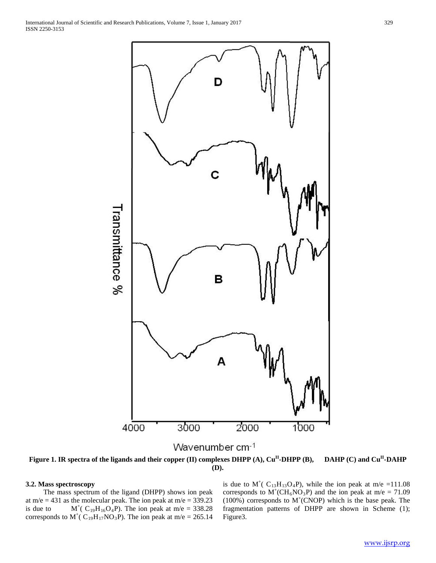

Figure 1. IR spectra of the ligands and their copper (II) complexes DHPP (A), Cu<sup>II</sup>-DHPP (B), DAHP (C) and Cu<sup>II</sup>-DAHP **(D).**

## **3.2. Mass spectroscopy**

 The mass spectrum of the ligand (DHPP) shows ion peak at m/e = 431 as the molecular peak. The ion peak at m/e = 339.23 is due to  $M^{+}$ ( C<sub>19</sub>H<sub>16</sub>O<sub>4</sub>P). The ion peak at m/e = 338.28 corresponds to  $M^{\dagger}$ ( C<sub>19</sub>H<sub>17</sub>NO<sub>3</sub>P). The ion peak at m/e = 265.14

is due to  $M^{\dagger}$ ( C<sub>13</sub>H<sub>13</sub>O<sub>4</sub>P), while the ion peak at m/e =111.08 corresponds to  $M^+(CH_6NO_3P)$  and the ion peak at m/e = 71.09  $(100\%)$  corresponds to M<sup>+</sup>(CNOP) which is the base peak. The fragmentation patterns of DHPP are shown in Scheme (1); Figure3.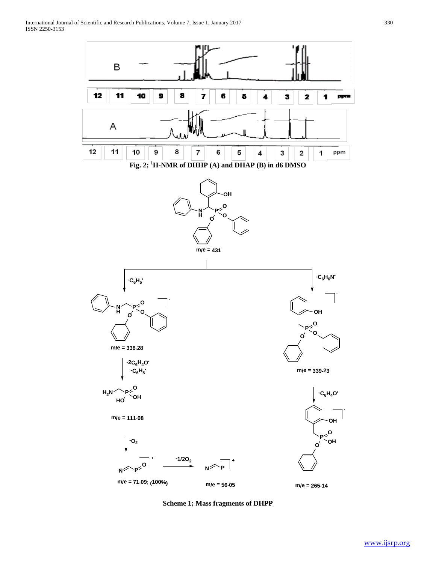

**Scheme 1; Mass fragments of DHPP**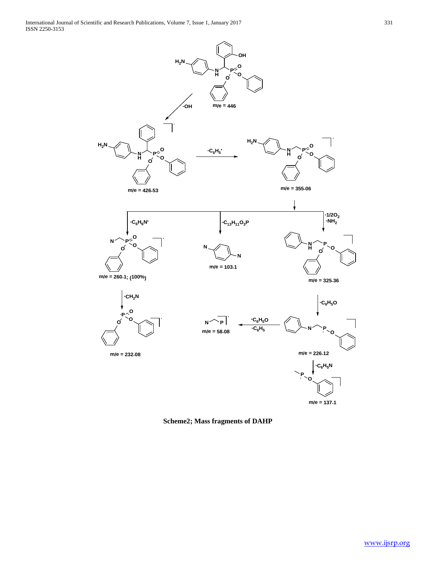

**m/e = 137.1**

**Scheme2; Mass fragments of DAHP**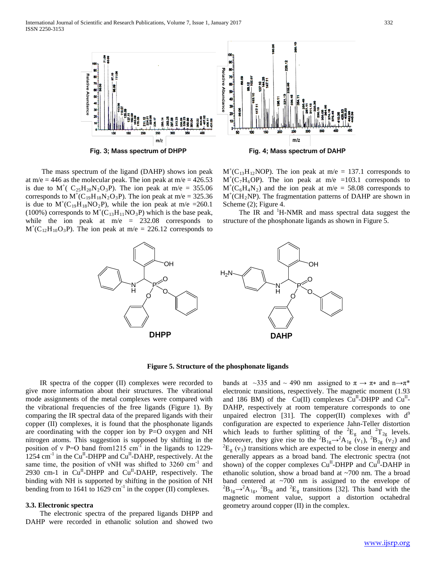

 The mass spectrum of the ligand (DAHP) shows ion peak at m/e = 446 as the molecular peak. The ion peak at m/e =  $426.53$ is due to  $M^{+}$ ( C<sub>25</sub> $H_{20}N_{2}O_{3}P$ ). The ion peak at m/e = 355.06 corresponds to  $M^+(C_{19}H_{18}N_2O_3P)$ . The ion peak at m/e = 325.36 is due to  $M^+(C_{19}H_{18}NO_2P)$ , while the ion peak at m/e =260.1 (100%) corresponds to  $M^+(C_{13}H_{11}NO_3P)$  which is the base peak, while the ion peak at  $m/e = 232.08$  corresponds to  $M^+(C_{12}H_{10}O_3P)$ . The ion peak at m/e = 226.12 corresponds to

 $M^+(C_{13}H_{12}NOP)$ . The ion peak at m/e = 137.1 corresponds to  $M^+(C_7H_6OP)$ . The ion peak at m/e =103.1 corresponds to  $M^+(C_6H_4N_2)$  and the ion peak at m/e = 58.08 corresponds to  $M^+(CH_2NP)$ . The fragmentation patterns of DAHP are shown in Scheme (2); Figure 4.

The IR and <sup>1</sup>H-NMR and mass spectral data suggest the structure of the phosphonate ligands as shown in Figure 5.



#### **Figure 5. Structure of the phosphonate ligands**

 IR spectra of the copper (II) complexes were recorded to give more information about their structures. The vibrational mode assignments of the metal complexes were compared with the vibrational frequencies of the free ligands (Figure 1). By comparing the IR spectral data of the prepared ligands with their copper (II) complexes, it is found that the phosphonate ligands are coordinating with the copper ion by P=O oxygen and NH nitrogen atoms. This suggestion is supposed by shifting in the position of v P=O band from 1215 cm<sup>-1</sup> in the ligands to 1229- $1254 \text{ cm}^{-1}$  in the Cu<sup>II</sup>-DHPP and Cu<sup>II</sup>-DAHP, respectively. At the same time, the position of vNH was shifted to 3260 cm<sup>-1</sup> and 2930 cm-1 in Cu<sup>II</sup>-DHPP and Cu<sup>II</sup>-DAHP, respectively. The binding with NH is supported by shifting in the position of NH bending from to 1641 to 1629  $cm^{-1}$  in the copper (II) complexes.

#### **3.3. Electronic spectra**

 The electronic spectra of the prepared ligands DHPP and DAHP were recorded in ethanolic solution and showed two bands at ~335 and ~ 490 nm assigned to  $\pi \rightarrow \pi^*$  and n $\rightarrow \pi^*$ electronic transitions, respectively. The magnetic moment (1.93 and 186 BM) of the  $Cu(II)$  complexes  $Cu<sup>II</sup>-DHPP$  and  $Cu<sup>II</sup>-$ DAHP, respectively at room temperature corresponds to one unpaired electron [31]. The copper(II) complexes with d<sup>9</sup> configuration are expected to experience Jahn-Teller distortion which leads to further splitting of the  ${}^{2}E_{g}$  and  ${}^{2}T_{2g}$  levels. Moreover, they give rise to the <sup>2</sup> $B_{1g} \rightarrow {}^2A_{1g}$  (v<sub>1</sub>), <sup>2</sup> $B_{2g}$  (v<sub>2</sub>) and  ${}^{2}E_{g}$  (v<sub>3</sub>) transitions which are expected to be close in energy and generally appears as a broad band. The electronic spectra (not shown) of the copper complexes  $Cu^{II}$ -DHPP and  $Cu^{II}$ -DAHP in ethanolic solution, show a broad band at ~700 nm. The a broad band centered at ~700 nm is assigned to the envelope of  ${}^{2}B_{1g} \rightarrow {}^{2}A_{1g}$ ,  ${}^{2}B_{2g}$  and  ${}^{2}E_{g}$  transitions [32]. This band with the magnetic moment value, support a distortion octahedral geometry around copper (II) in the complex.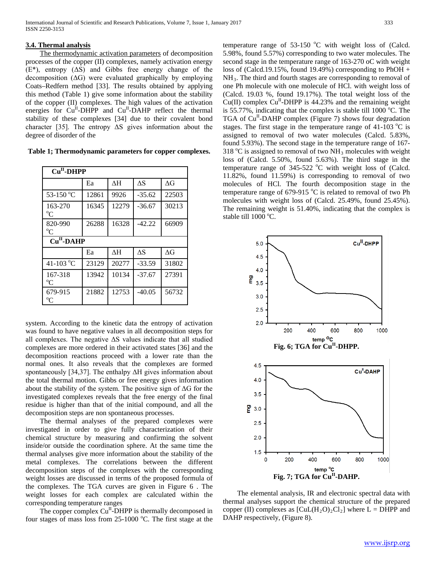## **3.4. Thermal analysis**

 The thermodynamic activation parameters of decomposition processes of the copper (II) complexes, namely activation energy (E\*), entropy (ΔS) and Gibbs free energy change of the decomposition  $( \Delta G )$  were evaluated graphically by employing Coats–Redfern method [33]. The results obtained by applying this method (Table 1) give some information about the stability of the copper (II) complexes. The high values of the activation energies for  $Cu<sup>H</sup>-DHPP$  and  $Cu<sup>H</sup>-DAHP$  reflect the thermal stability of these complexes [34] due to their covalent bond character [35]. The entropy  $\Delta S$  gives information about the degree of disorder of the

**Table 1; Thermodynamic parameters for copper complexes.**

| $CuH-DHPP$              |       |       |            |            |
|-------------------------|-------|-------|------------|------------|
|                         | Ea    | ΛH    | ΔS         | $\Delta G$ |
| 53-150 °C               | 12861 | 9926  | $-35.62$   | 22503      |
| 163-270<br>$^{\circ}C$  | 16345 | 12279 | $-36.67$   | 30213      |
| 820-990<br>$^{\circ}C$  | 26288 | 16328 | -42.22     | 66909      |
| $CuII$ -DAHP            |       |       |            |            |
|                         | Ea    | ΔH    | $\Delta S$ | $\Delta G$ |
| 41-103 °C               | 23129 | 20277 | $-33.59$   | 31802      |
| 167-318<br>$\rm ^{o}C$  | 13942 | 10134 | $-37.67$   | 27391      |
| 679-915<br>$^{\rm o}$ C | 21882 | 12753 | $-40.05$   | 56732      |

system. According to the kinetic data the entropy of activation was found to have negative values in all decomposition steps for all complexes. The negative  $\Delta S$  values indicate that all studied complexes are more ordered in their activated states [36] and the decomposition reactions proceed with a lower rate than the normal ones. It also reveals that the complexes are formed spontaneously [34,37]. The enthalpy ΔH gives information about the total thermal motion. Gibbs or free energy gives information about the stability of the system. The positive sign of  $\Delta G$  for the investigated complexes reveals that the free energy of the final residue is higher than that of the initial compound, and all the decomposition steps are non spontaneous processes.

 The thermal analyses of the prepared complexes were investigated in order to give fully characterization of their chemical structure by measuring and confirming the solvent inside/or outside the coordination sphere. At the same time the thermal analyses give more information about the stability of the metal complexes. The correlations between the different decomposition steps of the complexes with the corresponding weight losses are discussed in terms of the proposed formula of the complexes. The TGA curves are given in Figure 6 . The weight losses for each complex are calculated within the corresponding temperature ranges

The copper complex  $Cu<sup>H</sup>$ -DHPP is thermally decomposed in four stages of mass loss from 25-1000 °C. The first stage at the

temperature range of  $53-150$  °C with weight loss of (Calcd. 5.98%, found 5.57%) corresponding to two water molecules. The second stage in the temperature range of 163-270 oC with weight loss of (Calcd.19.15%, found 19.49%) corresponding to PhOH + NH3. The third and fourth stages are corresponding to removal of one Ph molecule with one molecule of HCl. with weight loss of (Calcd. 19.03 %, found 19.17%). The total weight loss of the Cu(II) complex  $Cu<sup>II</sup>$ -DHPP is 44.23% and the remaining weight is 55.77%, indicating that the complex is stable till 1000 $^{\circ}$ C. The TGA of Cu<sup>II</sup>-DAHP complex (Figure 7) shows four degradation stages. The first stage in the temperature range of  $41-103$  °C is assigned to removal of two water molecules (Calcd. 5.83%, found 5.93%). The second stage in the temperature range of 167- 318 °C is assigned to removal of two NH<sub>3</sub> molecules with weight loss of (Calcd. 5.50%, found 5.63%). The third stage in the temperature range of  $345-522$  °C with weight loss of (Calcd. 11.82%, found 11.59%) is corresponding to removal of two molecules of HCl. The fourth decomposition stage in the temperature range of 679-915 °C is related to removal of two Ph molecules with weight loss of (Calcd. 25.49%, found 25.45%). The remaining weight is 51.40%, indicating that the complex is stable till  $1000^{\circ}$ C.



 The elemental analysis, IR and electronic spectral data with thermal analyses support the chemical structure of the prepared copper (II) complexes as  $\text{[CuL(H<sub>2</sub>O)<sub>2</sub>Cl<sub>2</sub>]}$  where L = DHPP and DAHP respectively, (Figure 8).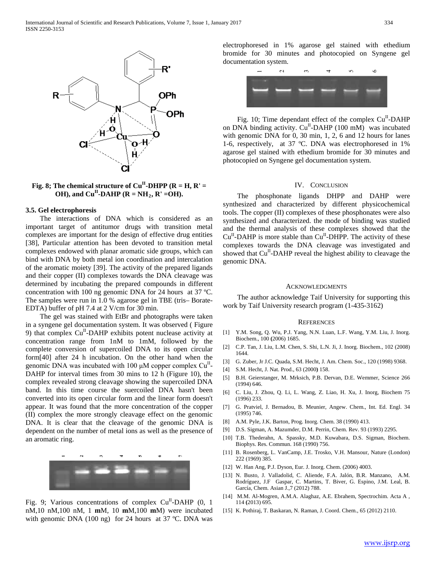

**Fig. 8; The chemical structure of**  $Cu^{\text{II}}$ **-DHPP (** $R = H, R' =$ OH), and Cu<sup>II</sup>-DAHP ( $R = NH_2$ ,  $R' = OH$ ).

#### **3.5. Gel electrophoresis**

 The interactions of DNA which is considered as an important target of antitumor drugs with transition metal complexes are important for the design of effective drug entities [38], Particular attention has been devoted to transition metal complexes endowed with planar aromatic side groups, which can bind with DNA by both metal ion coordination and intercalation of the aromatic moiety [39]. The activity of the prepared ligands and their copper (II) complexes towards the DNA cleavage was determined by incubating the prepared compounds in different concentration with 100 ng genomic DNA for 24 hours at 37 ºC. The samples were run in 1.0 % agarose gel in TBE (tris– Borate-EDTA) buffer of pH 7.4 at 2 V/cm for 30 min.

 The gel was stained with EtBr and photographs were taken in a syngene gel documentation system. It was observed ( Figure 9) that complex  $Cu<sup>H</sup>-DAHP$  exhibits potent nuclease activity at concentration range from 1nM to 1mM, followed by the complete conversion of supercoiled DNA to its open circular form[40] after 24 h incubation. On the other hand when the genomic DNA was incubated with 100  $\mu$ M copper complex Cu<sup>II</sup>-DAHP for interval times from 30 mins to 12 h (Figure 10), the complex revealed strong cleavage showing the supercoiled DNA band. In this time course the suercoiled DNA hasn't been converted into its open circular form and the linear form doesn't appear. It was found that the more concentration of the copper (II) complex the more strongly cleavage effect on the genomic DNA. It is clear that the cleavage of the genomic DNA is dependent on the number of metal ions as well as the presence of an aromatic ring.



Fig. 9; Various concentrations of complex Cu<sup>II</sup>-DAHP (0, 1 nM,10 nM,100 nM, 1 **m**M, 10 **m**M,100 **m**M) were incubated with genomic DNA (100 ng) for 24 hours at 37 ºC. DNA was

electrophoresed in 1% agarose gel stained with ethedium bromide for 30 minutes and photocopied on Syngene gel documentation system.



Fig. 10; Time dependant effect of the complex  $Cu<sup>H</sup>$ -DAHP on DNA binding activity.  $Cu^{II}$ -DAHP (100 mM) was incubated with genomic DNA for 0, 30 min, 1, 2, 6 and 12 hours for lanes 1-6, respectively, at 37 ºC. DNA was electrophoresed in 1% agarose gel stained with ethedium bromide for 30 minutes and photocopied on Syngene gel documentation system.

#### IV. CONCLUSION

 The phosphonate ligands DHPP and DAHP were synthesized and characterized by different physicochemical tools. The copper (II) complexes of these phosphonates were also synthesized and characterized. the mode of binding was studied and the thermal analysis of these complexes showed that the  $Cu<sup>H</sup>-DAHP$  is more stable than  $Cu<sup>H</sup>-DHPP$ . The activity of these complexes towards the DNA cleavage was investigated and showed that Cu<sup>II</sup>-DAHP reveal the highest ability to cleavage the genomic DNA.

#### ACKNOWLEDGMENTS

 The author acknowledge Taif University for supporting this work by Taif University research program (1-435-3162)

#### **REFERENCES**

- [1] Y.M. Song, Q. Wu, P.J. Yang, N.N. Luan, L.F. Wang, Y.M. Liu, J. Inorg. Biochem., 100 **(**2006) 1685.
- [2] C.P. Tan, J. Liu, L.M. Chen, S. Shi, L.N. Ji, J. Inorg. Biochem.*,* 102 (2008) 1644.
- [3] G. Zuber, Jr J.C. Quada, S.M. Hecht, J. Am. Chem. Soc., 120 (1998) 9368.
- [4] S.M. Hecht, J. Nat. Prod., 63 (2000**)** 158.
- [5] B.H. Geierstanger, M. Mrksich, P.B. Dervan, D.E. Wemmer, Science 266 (1994) 646.
- [6] C. Liu, J. Zhou, Q. Li, L. Wang, Z. Liao, H. Xu, J. Inorg, Biochem 75 (1996) 233.
- [7] G. Pratviel, J. Bernadou, B. Meunier, Angew. Chem., Int. Ed. Engl. 34 (1995) 746.
- [8] A.M. Pyle, J.K. Barton, Prog. Inorg. Chem. 38 (1990) 413.
- [9] D.S. Sigman, A. Mazumder, D.M. Perrin, Chem. Rev. 93 (1993) 2295.
- [10] T.B. Thederahn, A. Spassky, M.D. Kuwabara, D.S. Sigman, Biochem. Biophys. Res. Commun. 168 (1990) 756.
- [11] B. Rosenberg, L. VanCamp, J.E. Trosko, V.H. Mansour, Nature (London) 222 (1969) 385.
- [12] W. Han Ang, P.J. Dyson, Eur. J. Inorg. Chem. (2006) 4003.
- [13] N. Busto, J. Valladolid, C. Aliende, F.A. Jalón, B.R. Manzano, A.M. Rodríguez, J.F Gaspar, C. Martins, T. Biver, G. Espino, J.M. Leal, B. García, Chem. Asian J.*,*7 (2012) 788.
- [14] M.M. Al-Mogren, A.M.A. Alaghaz, A.E. Ebrahem, Spectrochim. Acta A *,* 114 **(**2013) 695.
- [15] K. Pothiraj, T. Baskaran, N. Raman, J. Coord. Chem., 65 (2012) 2110.